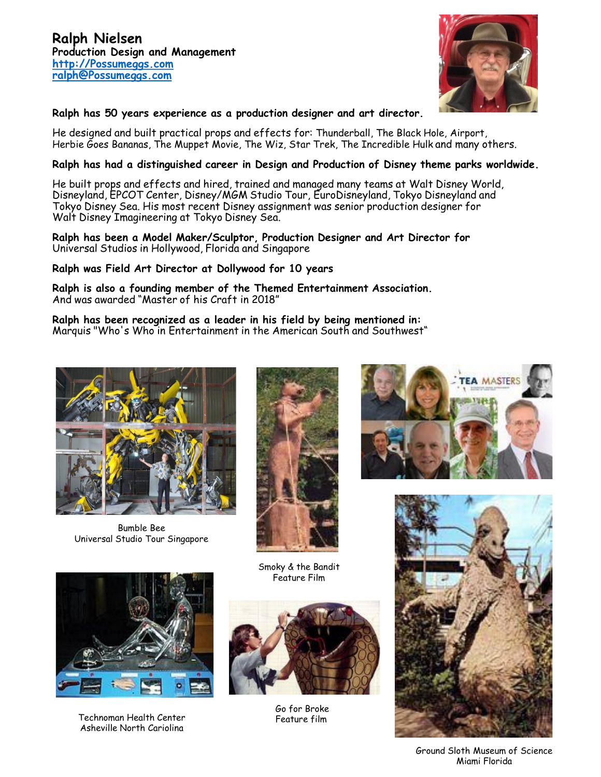

## **Ralph has 50 years experience as a production designer and art director.**

He designed and built practical props and effects for: Thunderball, The Black Hole, Airport, Herbie Goes Bananas, The Muppet Movie, The Wiz, Star Trek, The Incredible Hulk and many others.

## **Ralph has had a distinguished career in Design and Production of Disney theme parks worldwide.**

He built props and effects and hired, trained and managed many teams at Walt Disney World, Disneyland, EPCOT Center, Disney/MGM Studio Tour, EuroDisneyland, Tokyo Disneyland and Tokyo Disney Sea. His most recent Disney assignment was senior production designer for Walt Disney Imagineering at Tokyo Disney Sea.

**Ralph has been a Model Maker/Sculptor, Production Designer and Art Director for** Universal Studios in Hollywood, Florida and Singapore

## **Ralph was Field Art Director at Dollywood for 10 years**

**Ralph is also a founding member of the Themed Entertainment Association.** And was awarded "Master of his Craft in 2018"

**Ralph has been recognized as a leader in his field by being mentioned in:** Marquis "Who's Who in Entertainment in the American South and Southwest"



Bumble Bee Universal Studio Tour Singapore



Smoky & the Bandit Feature Film



Technoman Health Center Asheville North Cariolina



Go for Broke Feature film





Ground Sloth Museum of Science Miami Florida